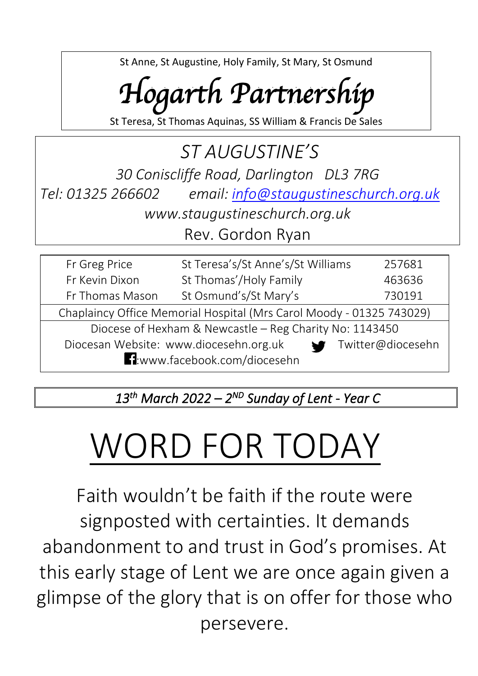St Anne, St Augustine, Holy Family, St Mary, St Osmund

## *Hogarth Partnership*

St Teresa, St Thomas Aquinas, SS William & Francis De Sales

## *ST AUGUSTINE'S 30 Coniscliffe Road, Darlington DL3 7RG Tel: 01325 266602 email: [info@staugustineschurch.org.uk](mailto:info@staugustineschurch.org.uk) www.staugustineschurch.org.uk* Rev. Gordon Ryan

| Fr Greg Price                                                        | St Teresa's/St Anne's/St Williams | 257681 |  |  |  |
|----------------------------------------------------------------------|-----------------------------------|--------|--|--|--|
| Fr Kevin Dixon                                                       | St Thomas'/Holy Family            | 463636 |  |  |  |
| Fr Thomas Mason                                                      | St Osmund's/St Mary's             | 730191 |  |  |  |
| Chaplaincy Office Memorial Hospital (Mrs Carol Moody - 01325 743029) |                                   |        |  |  |  |
| Diocese of Hexham & Newcastle - Reg Charity No: 1143450              |                                   |        |  |  |  |
| Diocesan Website: www.diocesehn.org.uk<br>Twitter@diocesehn          |                                   |        |  |  |  |
| <b>1</b> :www.facebook.com/diocesehn                                 |                                   |        |  |  |  |

*13th March 2022 – 2 ND Sunday of Lent - Year C* 

# WORD FOR TODAY

Faith wouldn't be faith if the route were signposted with certainties. It demands abandonment to and trust in God's promises. At this early stage of Lent we are once again given a glimpse of the glory that is on offer for those who persevere.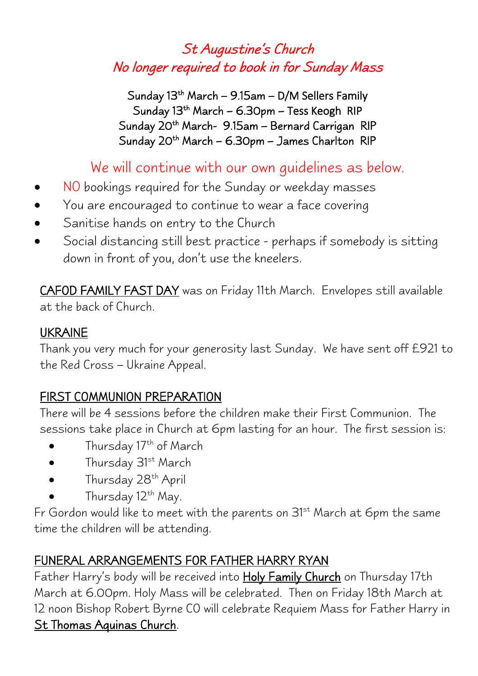### St Augustine's Church No longer required to book in for Sunday Mass

Sunday 13<sup>th</sup> March - 9.15am - D/M Sellers Family Sunday 13<sup>th</sup> March – 6.30pm – Tess Keogh RIP Sunday 20<sup>th</sup> March- 9.15am – Bernard Carrigan RIP Sunday 20<sup>th</sup> March – 6.30pm – James Charlton RIP

## We will continue with our own guidelines as below.

- NO bookings required for the Sunday or weekday masses
- You are encouraged to continue to wear a face covering
- Sanitise hands on entry to the Church
- Social distancing still best practice perhaps if somebody is sitting down in front of you, don't use the kneelers.

CAFOD FAMILY FAST DAY was on Friday 11th March. Envelopes still available at the back of Church.

#### UKRAINE

Thank you very much for your generosity last Sunday. We have sent off £921 to the Red Cross – Ukraine Appeal.

#### FIRST COMMUNION PREPARATION

There will be 4 sessions before the children make their First Communion. The sessions take place in Church at 6pm lasting for an hour. The first session is:

- Thursday 17<sup>th</sup> of March
- Thursday 31<sup>st</sup> March
- Thursday 28<sup>th</sup> April
- Thursday  $12^{th}$  May.

Fr Gordon would like to meet with the parents on 31<sup>st</sup> March at 6pm the same time the children will be attending.

#### FUNERAL ARRANGEMENTS FOR FATHER HARRY RYAN

Father Harry's body will be received into Holy Family Church on Thursday 17th March at 6.00pm. Holy Mass will be celebrated. Then on Friday 18th March at 12 noon Bishop Robert Byrne CO will celebrate Requiem Mass for Father Harry in St Thomas Aquinas Church.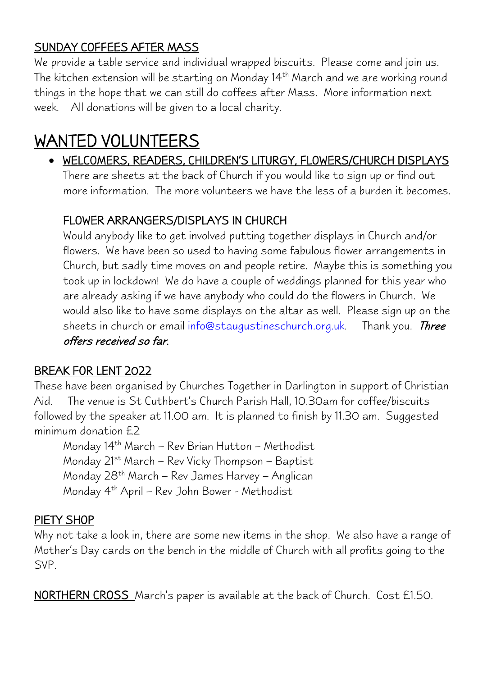#### SUNDAY COFFEES AFTER MASS

We provide a table service and individual wrapped biscuits. Please come and join us. The kitchen extension will be starting on Monday 14<sup>th</sup> March and we are working round things in the hope that we can still do coffees after Mass. More information next week. All donations will be given to a local charity.

## WANTED VOLUNTEERS

#### • WELCOMERS, READERS, CHILDREN'S LITURGY, FLOWERS/CHURCH DISPLAYS There are sheets at the back of Church if you would like to sign up or find out more information. The more volunteers we have the less of a burden it becomes.

#### FLOWER ARRANGERS/DISPLAYS IN CHURCH

Would anybody like to get involved putting together displays in Church and/or flowers. We have been so used to having some fabulous flower arrangements in Church, but sadly time moves on and people retire. Maybe this is something you took up in lockdown! We do have a couple of weddings planned for this year who are already asking if we have anybody who could do the flowers in Church. We would also like to have some displays on the altar as well. Please sign up on the sheets in church or email [info@staugustineschurch.org.uk.](mailto:info@staugustineschurch.org.uk) Thank you. Three offers received so far.

#### BREAK FOR LENT 2022

These have been organised by Churches Together in Darlington in support of Christian Aid. The venue is St Cuthbert's Church Parish Hall, 10.30am for coffee/biscuits followed by the speaker at 11.00 am. It is planned to finish by 11.30 am. Suggested minimum donation £2

Monday 14th March – Rev Brian Hutton – Methodist Monday 21st March – Rev Vicky Thompson – Baptist Monday 28th March – Rev James Harvey – Anglican Monday 4th April – Rev John Bower - Methodist

#### PIETY SHOP

Why not take a look in, there are some new items in the shop. We also have a range of Mother's Day cards on the bench in the middle of Church with all profits going to the SVP.

NORTHERN CROSS March's paper is available at the back of Church. Cost £1.50.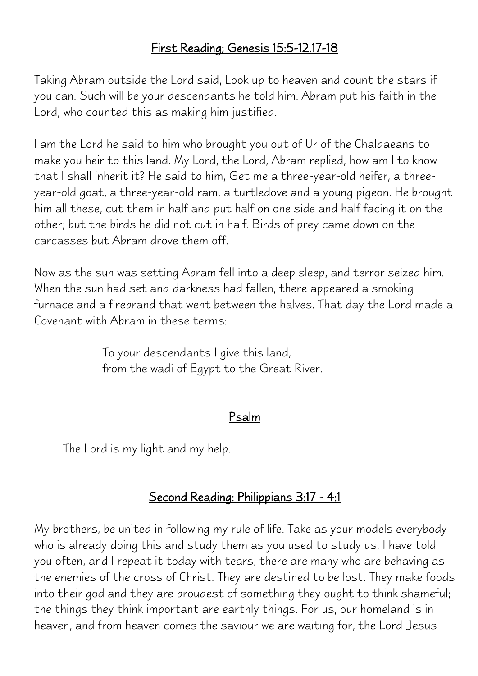#### First Reading; Genesis 15:5-12.17-18

Taking Abram outside the Lord said, Look up to heaven and count the stars if you can. Such will be your descendants he told him. Abram put his faith in the Lord, who counted this as making him justified.

I am the Lord he said to him who brought you out of Ur of the Chaldaeans to make you heir to this land. My Lord, the Lord, Abram replied, how am I to know that I shall inherit it? He said to him, Get me a three-year-old heifer, a threeyear-old goat, a three-year-old ram, a turtledove and a young pigeon. He brought him all these, cut them in half and put half on one side and half facing it on the other; but the birds he did not cut in half. Birds of prey came down on the carcasses but Abram drove them off.

Now as the sun was setting Abram fell into a deep sleep, and terror seized him. When the sun had set and darkness had fallen, there appeared a smoking furnace and a firebrand that went between the halves. That day the Lord made a Covenant with Abram in these terms:

> To your descendants I give this land, from the wadi of Egypt to the Great River.

#### Psalm

The Lord is my light and my help.

#### Second Reading: Philippians 3:17 - 4:1

My brothers, be united in following my rule of life. Take as your models everybody who is already doing this and study them as you used to study us. I have told you often, and I repeat it today with tears, there are many who are behaving as the enemies of the cross of Christ. They are destined to be lost. They make foods into their god and they are proudest of something they ought to think shameful; the things they think important are earthly things. For us, our homeland is in heaven, and from heaven comes the saviour we are waiting for, the Lord Jesus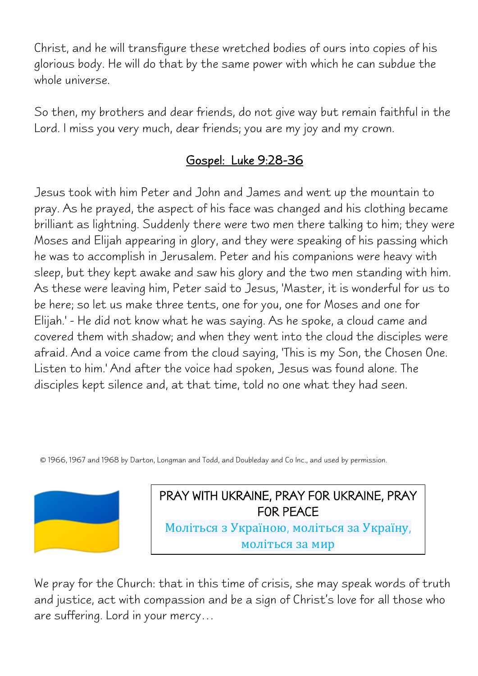Christ, and he will transfigure these wretched bodies of ours into copies of his glorious body. He will do that by the same power with which he can subdue the whole universe.

So then, my brothers and dear friends, do not give way but remain faithful in the Lord. I miss you very much, dear friends; you are my joy and my crown.

#### Gospel: Luke 9:28-36

Jesus took with him Peter and John and James and went up the mountain to pray. As he prayed, the aspect of his face was changed and his clothing became brilliant as lightning. Suddenly there were two men there talking to him; they were Moses and Elijah appearing in glory, and they were speaking of his passing which he was to accomplish in Jerusalem. Peter and his companions were heavy with sleep, but they kept awake and saw his glory and the two men standing with him. As these were leaving him, Peter said to Jesus, 'Master, it is wonderful for us to be here; so let us make three tents, one for you, one for Moses and one for Elijah.' - He did not know what he was saying. As he spoke, a cloud came and covered them with shadow; and when they went into the cloud the disciples were afraid. And a voice came from the cloud saying, 'This is my Son, the Chosen One. Listen to him.' And after the voice had spoken, Jesus was found alone. The disciples kept silence and, at that time, told no one what they had seen.

© 1966, 1967 and 1968 by Darton, Longman and Todd, and Doubleday and Co Inc., and used by permission.



PRAY WITH UKRAINE, PRAY FOR UKRAINE, PRAY FOR PEACE

Моліться з Україною, моліться за Україну, моліться за мир

We pray for the Church: that in this time of crisis, she may speak words of truth and justice, act with compassion and be a sign of Christ's love for all those who are suffering. Lord in your mercy…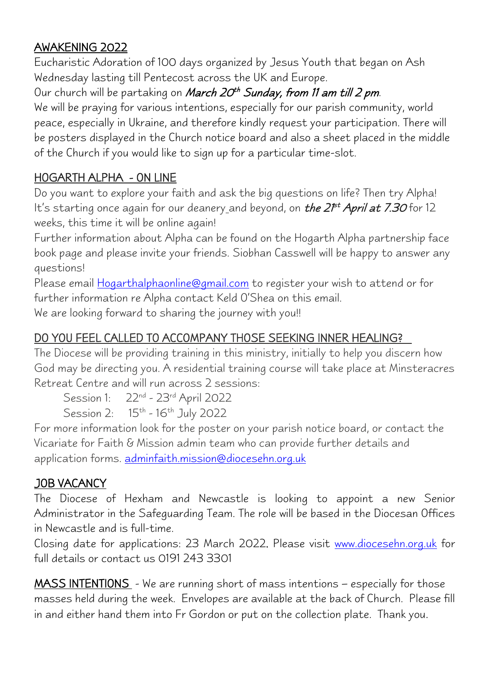#### AWAKENING 2022

Eucharistic Adoration of 100 days organized by Jesus Youth that began on Ash Wednesday lasting till Pentecost across the UK and Europe.

Our church will be partaking on *March 20<sup>th</sup> Sunday, from 11 am till 2 pm*.

We will be praying for various intentions, especially for our parish community, world peace, especially in Ukraine, and therefore kindly request your participation. There will be posters displayed in the Church notice board and also a sheet placed in the middle of the Church if you would like to sign up for a particular time-slot.

#### HOGARTH ALPHA - ON LINE

Do you want to explore your faith and ask the big questions on life? Then try Alpha! It's starting once again for our deanery\_and beyond, on *the 2f<sup>st</sup> April at 7.30* for 12 weeks, this time it will be online again!

Further information about Alpha can be found on the Hogarth Alpha partnership face book page and please invite your friends. Siobhan Casswell will be happy to answer any questions!

Please email [Hogarthalphaonline@gmail.com](mailto:Hogarthalphaonline@gmail.com) to register your wish to attend or for further information re Alpha contact Keld O'Shea on this email.

We are looking forward to sharing the journey with you!!

#### DO YOU FEEL CALLED TO ACCOMPANY THOSE SEEKING INNER HEALING?

The Diocese will be providing training in this ministry, initially to help you discern how God may be directing you. A residential training course will take place at Minsteracres Retreat Centre and will run across 2 sessions:

Session 1: 22<sup>nd</sup> - 23<sup>rd</sup> April 2022

Session 2: 15<sup>th</sup> - 16<sup>th</sup> July 2022

For more information look for the poster on your parish notice board, or contact the Vicariate for Faith & Mission admin team who can provide further details and application forms. [adminfaith.mission@diocesehn.org.uk](mailto:adminfaith.mission@diocesehn.org.uk)

#### JOB VACANCY

The Diocese of Hexham and Newcastle is looking to appoint a new Senior Administrator in the Safeguarding Team. The role will be based in the Diocesan Offices in Newcastle and is full-time.

Closing date for applications: 23 March 2022. Please visit [www.diocesehn.org.uk](http://www.diocesehn.org.uk/) for full details or contact us 0191 243 3301

MASS INTENTIONS - We are running short of mass intentions – especially for those masses held during the week. Envelopes are available at the back of Church. Please fill in and either hand them into Fr Gordon or put on the collection plate. Thank you.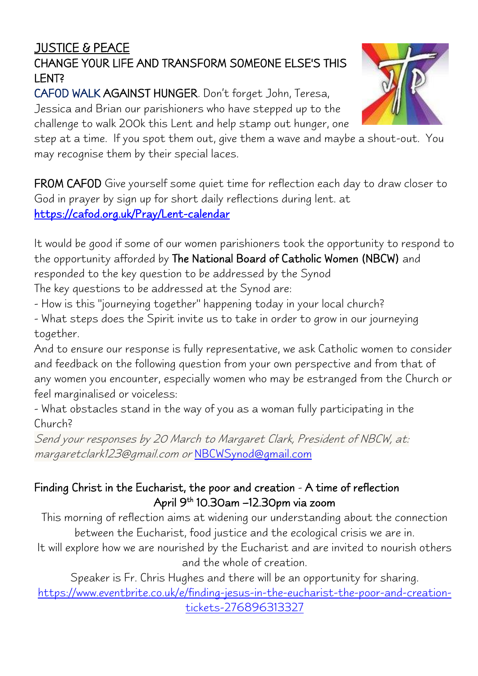#### JUSTICE & PEACE CHANGE YOUR LIFE AND TRANSFORM SOMEONE ELSE'S THIS LENT?

CAFOD WALK AGAINST HUNGER. Don't forget John, Teresa, Jessica and Brian our parishioners who have stepped up to the challenge to walk 200k this Lent and help stamp out hunger, one

step at a time. If you spot them out, give them a wave and maybe a shout-out. You may recognise them by their special laces.

FROM CAFOD Give yourself some quiet time for reflection each day to draw closer to God in prayer by sign up for short daily reflections during lent. at <https://cafod.org.uk/Pray/Lent-calendar>

It would be good if some of our women parishioners took the opportunity to respond to the opportunity afforded by The National Board of Catholic Women (NBCW) and responded to the key question to be addressed by the Synod The key questions to be addressed at the Synod are:

- How is this "journeying together" happening today in your local church?

- What steps does the Spirit invite us to take in order to grow in our journeying together.

And to ensure our response is fully representative, we ask Catholic women to consider and feedback on the following question from your own perspective and from that of any women you encounter, especially women who may be estranged from the Church or feel marginalised or voiceless:

- What obstacles stand in the way of you as a woman fully participating in the Church?

Send your responses by 20 March to Margaret Clark, President of NBCW, at: margaretclark123@gmail.com or [NBCWSynod@gmail.com](mailto:NBCWSynod@gmail.com)

#### Finding Christ in the Eucharist, the poor and creation - A time of reflection April 9<sup>th</sup> 10.30am –12.30pm via zoom

This morning of reflection aims at widening our understanding about the connection between the Eucharist, food justice and the ecological crisis we are in.

It will explore how we are nourished by the Eucharist and are invited to nourish others and the whole of creation.

Speaker is Fr. Chris Hughes and there will be an opportunity for sharing. [https://www.eventbrite.co.uk/e/finding-jesus-in-the-eucharist-the-poor-and-creation](https://www.eventbrite.co.uk/e/finding-jesus-in-the-eucharist-the-poor-and-creation-tickets-276896313327)[tickets-276896313327](https://www.eventbrite.co.uk/e/finding-jesus-in-the-eucharist-the-poor-and-creation-tickets-276896313327)